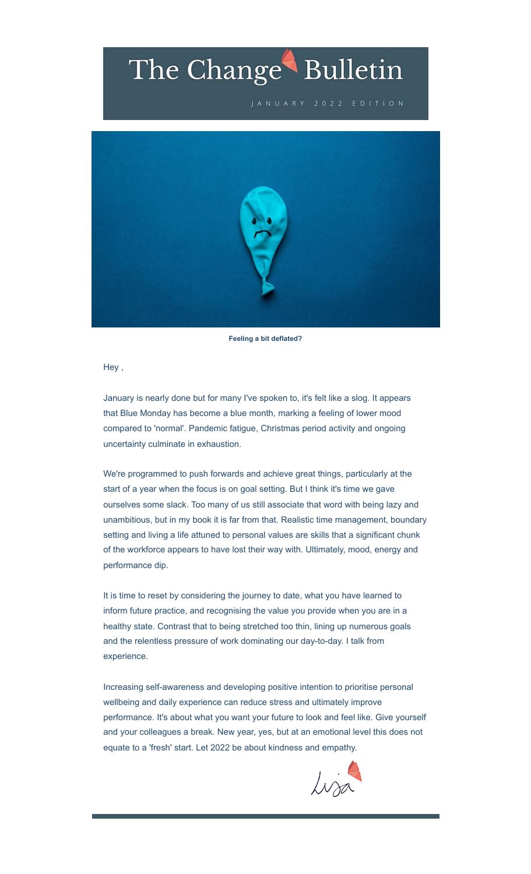# The Change Bulletin

JANUARY 2022 EDITION



**Feeling a bit deflated?**

Hey ,

January is nearly done but for many I've spoken to, it's felt like a slog. It appears that Blue Monday has become a blue month, marking a feeling of lower mood compared to 'normal'. Pandemic fatigue, Christmas period activity and ongoing uncertainty culminate in exhaustion.

We're programmed to push forwards and achieve great things, particularly at the start of a year when the focus is on goal setting. But I think it's time we gave ourselves some slack. Too many of us still associate that word with being lazy and unambitious, but in my book it is far from that. Realistic time management, boundary setting and living a life attuned to personal values are skills that a significant chunk of the workforce appears to have lost their way with. Ultimately, mood, energy and performance dip.

It is time to reset by considering the journey to date, what you have learned to inform future practice, and recognising the value you provide when you are in a healthy state. Contrast that to being stretched too thin, lining up numerous goals and the relentless pressure of work dominating our day-to-day. I talk from experience.

Increasing self-awareness and developing positive intention to prioritise personal wellbeing and daily experience can reduce stress and ultimately improve performance. It's about what you want your future to look and feel like. Give yourself and your colleagues a break. New year, yes, but at an emotional level this does not equate to a 'fresh' start. Let 2022 be about kindness and empathy.

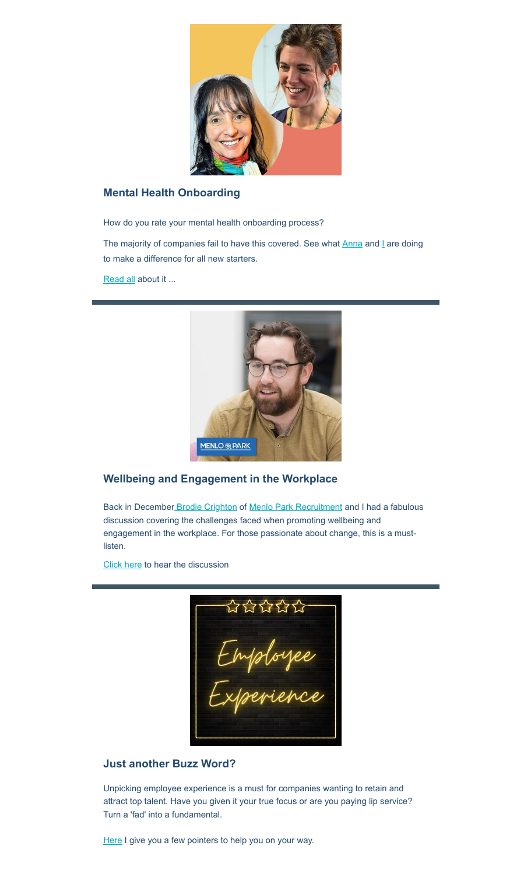

#### **Mental Health Onboarding**

How do you rate your mental health onboarding process?

The majority of companies fail to have this covered. See what **[Anna](https://www.linkedin.com/in/annawhib/?utm_source=hs_email&utm_medium=email&_hsenc=p2ANqtz-8YY5gLFFmOPIscNaagWxS5h2KQqLMoLRe5q3wZA3D8VY7OEEq-p96WuganXd3j-2MUw6Ey) and [I](https://www.linkedin.com/in/lisapsychology/?utm_source=hs_email&utm_medium=email&_hsenc=p2ANqtz-8YY5gLFFmOPIscNaagWxS5h2KQqLMoLRe5q3wZA3D8VY7OEEq-p96WuganXd3j-2MUw6Ey) are doing** to make a difference for all new starters.

[Read all](https://itstimeforchange.co.uk/mental-health-onboarding?utm_source=hs_email&utm_medium=email&_hsenc=p2ANqtz-8YY5gLFFmOPIscNaagWxS5h2KQqLMoLRe5q3wZA3D8VY7OEEq-p96WuganXd3j-2MUw6Ey) about it ...



#### **Wellbeing and Engagement in the Workplace**

Back in December [Brodie Crighton](https://www.linkedin.com/in/ACoAABVBux8BuvLPqBBe2DHuZKcr_-kamE0AheA?utm_source=hs_email&utm_medium=email&_hsenc=p2ANqtz-8YY5gLFFmOPIscNaagWxS5h2KQqLMoLRe5q3wZA3D8VY7OEEq-p96WuganXd3j-2MUw6Ey) of [Menlo Park Recruitment](https://www.linkedin.com/company/menlo-park-recruitment/?utm_source=hs_email&utm_medium=email&_hsenc=p2ANqtz-8YY5gLFFmOPIscNaagWxS5h2KQqLMoLRe5q3wZA3D8VY7OEEq-p96WuganXd3j-2MUw6Ey) and I had a fabulous discussion covering the challenges faced when promoting wellbeing and engagement in the workplace. For those passionate about change, this is a mustlisten.

[Click here](https://itstimeforchange.co.uk/wellbeing-and-engagement?utm_source=hs_email&utm_medium=email&_hsenc=p2ANqtz-8YY5gLFFmOPIscNaagWxS5h2KQqLMoLRe5q3wZA3D8VY7OEEq-p96WuganXd3j-2MUw6Ey) to hear the discussion

-aarrar<br>Employee<br>Experience

#### **Just another Buzz Word?**

Unpicking employee experience is a must for companies wanting to retain and attract top talent. Have you given it your true focus or are you paying lip service? Turn a 'fad' into a fundamental.

[Here](https://itstimeforchange.co.uk/just-another-buzz-word?utm_source=hs_email&utm_medium=email&_hsenc=p2ANqtz-8YY5gLFFmOPIscNaagWxS5h2KQqLMoLRe5q3wZA3D8VY7OEEq-p96WuganXd3j-2MUw6Ey) I give you a few pointers to help you on your way.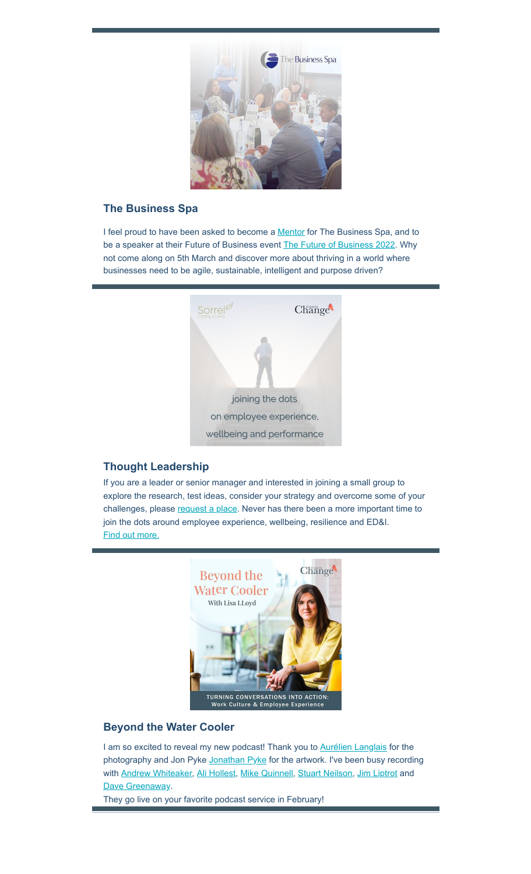

#### **The Business Spa**

I feel proud to have been asked to become a **Mentor** for The Business Spa, and to be a speaker at their Future of Business event [The Future of Business 2022](https://businessspa.ac-page.com/The_Future_of_Business_2022?utm_source=hs_email&utm_medium=email&_hsenc=p2ANqtz-8YY5gLFFmOPIscNaagWxS5h2KQqLMoLRe5q3wZA3D8VY7OEEq-p96WuganXd3j-2MUw6Ey). Why not come along on 5th March and discover more about thriving in a world where businesses need to be agile, sustainable, intelligent and purpose driven?



#### **Thought Leadership**

If you are a leader or senior manager and interested in joining a small group to explore the research, test ideas, consider your strategy and overcome some of your challenges, please [request a place](https://forms.gle/3Mb17qiYRL2uQw9p6?utm_source=hs_email&utm_medium=email&_hsenc=p2ANqtz-8YY5gLFFmOPIscNaagWxS5h2KQqLMoLRe5q3wZA3D8VY7OEEq-p96WuganXd3j-2MUw6Ey). Never has there been a more important time to join the dots around employee experience, wellbeing, resilience and ED&I. [Find out more.](https://itstimeforchange.co.uk/workforce-strategy-live?utm_source=hs_email&utm_medium=email&_hsenc=p2ANqtz-8YY5gLFFmOPIscNaagWxS5h2KQqLMoLRe5q3wZA3D8VY7OEEq-p96WuganXd3j-2MUw6Ey)



#### **Beyond the Water Cooler**

I am so excited to reveal my new podcast! Thank you to [Aurélien Langlais](https://www.linkedin.com/in/aur%C3%A9lien-langlais-7892911b/?utm_source=hs_email&utm_medium=email&_hsenc=p2ANqtz-8YY5gLFFmOPIscNaagWxS5h2KQqLMoLRe5q3wZA3D8VY7OEEq-p96WuganXd3j-2MUw6Ey) for the photography and Jon Pyke [Jonathan Pyke](https://www.linkedin.com/in/jonathanrpyke/?utm_source=hs_email&utm_medium=email&_hsenc=p2ANqtz-8YY5gLFFmOPIscNaagWxS5h2KQqLMoLRe5q3wZA3D8VY7OEEq-p96WuganXd3j-2MUw6Ey) for the artwork. I've been busy recording with [Andrew Whiteaker,](https://www.linkedin.com/in/andrew-whiteaker-017a441a/?utm_source=hs_email&utm_medium=email&_hsenc=p2ANqtz-8YY5gLFFmOPIscNaagWxS5h2KQqLMoLRe5q3wZA3D8VY7OEEq-p96WuganXd3j-2MUw6Ey) [Ali Hollest,](https://www.linkedin.com/in/alihollest/?utm_source=hs_email&utm_medium=email&_hsenc=p2ANqtz-8YY5gLFFmOPIscNaagWxS5h2KQqLMoLRe5q3wZA3D8VY7OEEq-p96WuganXd3j-2MUw6Ey) [Mike Quinnell,](https://www.linkedin.com/in/michael-quinnell-80169922/?utm_source=hs_email&utm_medium=email&_hsenc=p2ANqtz-8YY5gLFFmOPIscNaagWxS5h2KQqLMoLRe5q3wZA3D8VY7OEEq-p96WuganXd3j-2MUw6Ey) [Stuart Neilson,](https://www.linkedin.com/in/stuartneilson1/?utm_source=hs_email&utm_medium=email&_hsenc=p2ANqtz-8YY5gLFFmOPIscNaagWxS5h2KQqLMoLRe5q3wZA3D8VY7OEEq-p96WuganXd3j-2MUw6Ey) [Jim Liptrot](https://www.linkedin.com/in/jim-liptrot-69871218/?utm_source=hs_email&utm_medium=email&_hsenc=p2ANqtz-8YY5gLFFmOPIscNaagWxS5h2KQqLMoLRe5q3wZA3D8VY7OEEq-p96WuganXd3j-2MUw6Ey) and [Dave Greenaway](https://www.linkedin.com/in/davegreenaway/?utm_source=hs_email&utm_medium=email&_hsenc=p2ANqtz-8YY5gLFFmOPIscNaagWxS5h2KQqLMoLRe5q3wZA3D8VY7OEEq-p96WuganXd3j-2MUw6Ey).

They go live on your favorite podcast service in February!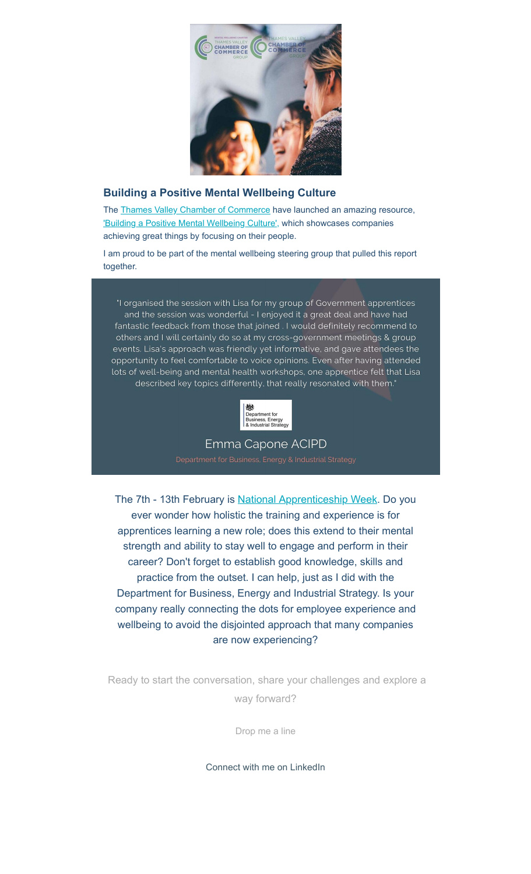

### **Building a Positive Mental Wellbeing Culture**

The [Thames Valley Chamber of Commerce](https://www.linkedin.com/company/thames-valley-chamber-of-commerce/?utm_source=hs_email&utm_medium=email&_hsenc=p2ANqtz-8YY5gLFFmOPIscNaagWxS5h2KQqLMoLRe5q3wZA3D8VY7OEEq-p96WuganXd3j-2MUw6Ey) have launched an amazing resource, ['Building a Positive Mental Wellbeing Culture',](https://www.thamesvalleychamber.co.uk/wp-content/uploads/2021/11/Mental-Health-Report-Interactive-Spread-Smaller-file.pdf?dm_i=3037%2C17YOQ%2C5YA1Y9%2C4QI6J%2C1&utm_source=hs_email&utm_medium=email&_hsenc=p2ANqtz-8YY5gLFFmOPIscNaagWxS5h2KQqLMoLRe5q3wZA3D8VY7OEEq-p96WuganXd3j-2MUw6Ey) which showcases companies achieving great things by focusing on their people.

I am proud to be part of the mental wellbeing steering group that pulled this report together.

"I organised the session with Lisa for my group of Government apprentices and the session was wonderful - I enjoyed it a great deal and have had fantastic feedback from those that joined. I would definitely recommend to others and I will certainly do so at my cross-government meetings & group events. Lisa's approach was friendly yet informative, and gave attendees the opportunity to feel comfortable to voice opinions. Even after having attended lots of well-being and mental health workshops, one apprentice felt that Lisa described key topics differently, that really resonated with them."



## Emma Capone ACIPD

The 7th - 13th February is [National Apprenticeship Week.](https://www.apprenticeships.gov.uk/influencers/naw-2022?utm_source=hs_email&utm_medium=email&_hsenc=p2ANqtz-8YY5gLFFmOPIscNaagWxS5h2KQqLMoLRe5q3wZA3D8VY7OEEq-p96WuganXd3j-2MUw6Ey#) Do you ever wonder how holistic the training and experience is for apprentices learning a new role; does this extend to their mental strength and ability to stay well to engage and perform in their career? Don't forget to establish good knowledge, skills and practice from the outset. I can help, just as I did with the Department for Business, Energy and Industrial Strategy. Is your company really connecting the dots for employee experience and wellbeing to avoid the disjointed approach that many companies are now experiencing?

Ready to start the conversation, share your challenges and explore a way forward?

[Drop me a line](mailto:lisa@itstimeforchange.co.uk)

[Connect with me on LinkedIn](https://www.linkedin.com/in/lisapsychology/?utm_source=hs_email&utm_medium=email&_hsenc=p2ANqtz-8YY5gLFFmOPIscNaagWxS5h2KQqLMoLRe5q3wZA3D8VY7OEEq-p96WuganXd3j-2MUw6Ey)